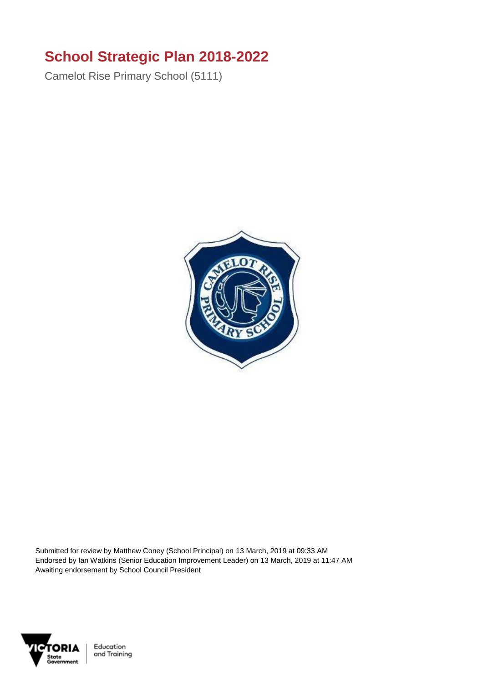## **School Strategic Plan 2018-2022**

Camelot Rise Primary School (5111)



Submitted for review by Matthew Coney (School Principal) on 13 March, 2019 at 09:33 AM Endorsed by Ian Watkins (Senior Education Improvement Leader) on 13 March, 2019 at 11:47 AM Awaiting endorsement by School Council President



Education and Training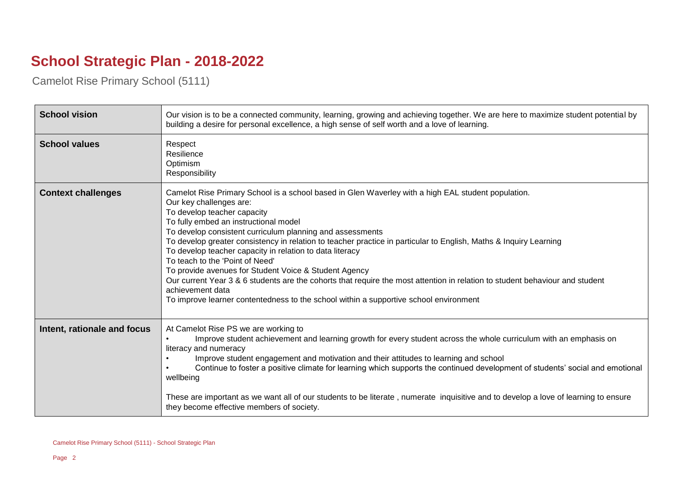## **School Strategic Plan - 2018-2022**

Camelot Rise Primary School (5111)

| <b>School vision</b>        | Our vision is to be a connected community, learning, growing and achieving together. We are here to maximize student potential by<br>building a desire for personal excellence, a high sense of self worth and a love of learning.                                                                                                                                                                                                                                                                                                                                                                                                                                                                                                                                                           |
|-----------------------------|----------------------------------------------------------------------------------------------------------------------------------------------------------------------------------------------------------------------------------------------------------------------------------------------------------------------------------------------------------------------------------------------------------------------------------------------------------------------------------------------------------------------------------------------------------------------------------------------------------------------------------------------------------------------------------------------------------------------------------------------------------------------------------------------|
| <b>School values</b>        | Respect<br>Resilience<br>Optimism<br>Responsibility                                                                                                                                                                                                                                                                                                                                                                                                                                                                                                                                                                                                                                                                                                                                          |
| <b>Context challenges</b>   | Camelot Rise Primary School is a school based in Glen Waverley with a high EAL student population.<br>Our key challenges are:<br>To develop teacher capacity<br>To fully embed an instructional model<br>To develop consistent curriculum planning and assessments<br>To develop greater consistency in relation to teacher practice in particular to English, Maths & Inquiry Learning<br>To develop teacher capacity in relation to data literacy<br>To teach to the 'Point of Need'<br>To provide avenues for Student Voice & Student Agency<br>Our current Year 3 & 6 students are the cohorts that require the most attention in relation to student behaviour and student<br>achievement data<br>To improve learner contentedness to the school within a supportive school environment |
| Intent, rationale and focus | At Camelot Rise PS we are working to<br>Improve student achievement and learning growth for every student across the whole curriculum with an emphasis on<br>literacy and numeracy<br>Improve student engagement and motivation and their attitudes to learning and school<br>Continue to foster a positive climate for learning which supports the continued development of students' social and emotional<br>wellbeing<br>These are important as we want all of our students to be literate, numerate inquisitive and to develop a love of learning to ensure<br>they become effective members of society.                                                                                                                                                                                 |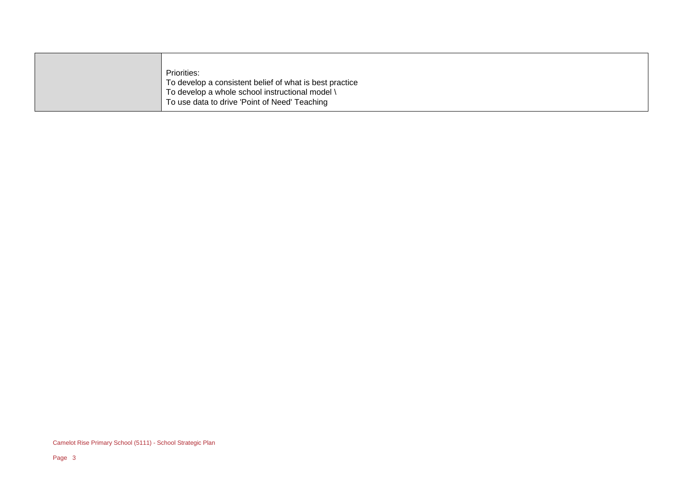|  | Priorities:                                             |
|--|---------------------------------------------------------|
|  | To develop a consistent belief of what is best practice |
|  | To develop a whole school instructional model \         |
|  | To use data to drive 'Point of Need' Teaching           |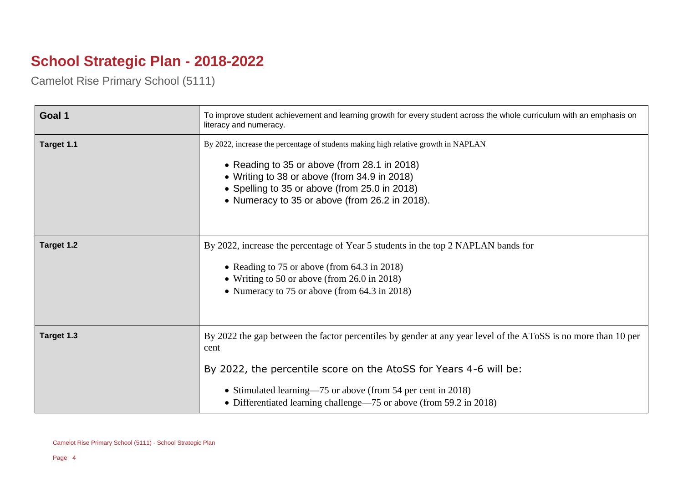## **School Strategic Plan - 2018-2022**

Camelot Rise Primary School (5111)

| Goal 1     | To improve student achievement and learning growth for every student across the whole curriculum with an emphasis on<br>literacy and numeracy.                                                                                                                                                                                     |
|------------|------------------------------------------------------------------------------------------------------------------------------------------------------------------------------------------------------------------------------------------------------------------------------------------------------------------------------------|
| Target 1.1 | By 2022, increase the percentage of students making high relative growth in NAPLAN<br>• Reading to 35 or above (from 28.1 in 2018)<br>• Writing to 38 or above (from 34.9 in 2018)<br>• Spelling to 35 or above (from 25.0 in 2018)<br>• Numeracy to 35 or above (from 26.2 in 2018).                                              |
| Target 1.2 | By 2022, increase the percentage of Year 5 students in the top 2 NAPLAN bands for<br>• Reading to 75 or above (from 64.3 in 2018)<br>• Writing to 50 or above (from 26.0 in 2018)<br>• Numeracy to 75 or above (from 64.3 in 2018)                                                                                                 |
| Target 1.3 | By 2022 the gap between the factor percentiles by gender at any year level of the AToSS is no more than 10 per<br>cent<br>By 2022, the percentile score on the AtoSS for Years 4-6 will be:<br>• Stimulated learning—75 or above (from 54 per cent in 2018)<br>• Differentiated learning challenge—75 or above (from 59.2 in 2018) |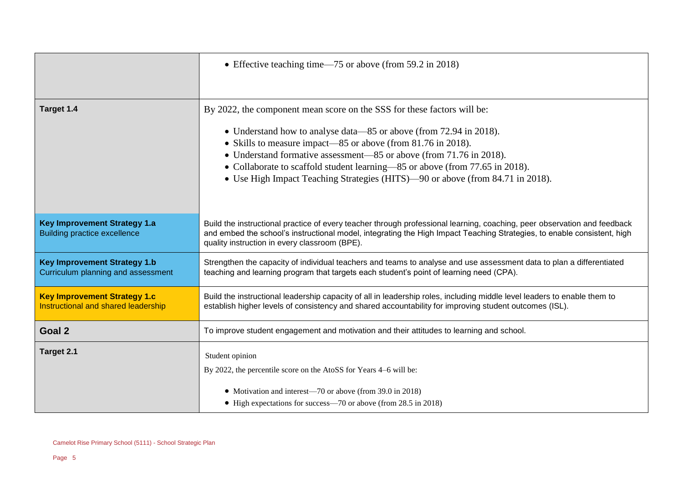|                                                                            | • Effective teaching time—75 or above (from 59.2 in 2018)                                                                                                                                                                                                                                            |
|----------------------------------------------------------------------------|------------------------------------------------------------------------------------------------------------------------------------------------------------------------------------------------------------------------------------------------------------------------------------------------------|
|                                                                            |                                                                                                                                                                                                                                                                                                      |
| Target 1.4                                                                 | By 2022, the component mean score on the SSS for these factors will be:                                                                                                                                                                                                                              |
|                                                                            | • Understand how to analyse data—85 or above (from 72.94 in 2018).                                                                                                                                                                                                                                   |
|                                                                            | • Skills to measure impact—85 or above (from 81.76 in 2018).                                                                                                                                                                                                                                         |
|                                                                            | • Understand formative assessment—85 or above (from 71.76 in 2018).                                                                                                                                                                                                                                  |
|                                                                            | • Collaborate to scaffold student learning—85 or above (from 77.65 in 2018).                                                                                                                                                                                                                         |
|                                                                            | • Use High Impact Teaching Strategies (HITS)—90 or above (from 84.71 in 2018).                                                                                                                                                                                                                       |
|                                                                            |                                                                                                                                                                                                                                                                                                      |
|                                                                            |                                                                                                                                                                                                                                                                                                      |
| <b>Key Improvement Strategy 1.a</b><br><b>Building practice excellence</b> | Build the instructional practice of every teacher through professional learning, coaching, peer observation and feedback<br>and embed the school's instructional model, integrating the High Impact Teaching Strategies, to enable consistent, high<br>quality instruction in every classroom (BPE). |
| <b>Key Improvement Strategy 1.b</b><br>Curriculum planning and assessment  | Strengthen the capacity of individual teachers and teams to analyse and use assessment data to plan a differentiated<br>teaching and learning program that targets each student's point of learning need (CPA).                                                                                      |
| <b>Key Improvement Strategy 1.c</b><br>Instructional and shared leadership | Build the instructional leadership capacity of all in leadership roles, including middle level leaders to enable them to<br>establish higher levels of consistency and shared accountability for improving student outcomes (ISL).                                                                   |
| Goal 2                                                                     | To improve student engagement and motivation and their attitudes to learning and school.                                                                                                                                                                                                             |
| Target 2.1                                                                 | Student opinion                                                                                                                                                                                                                                                                                      |
|                                                                            | By 2022, the percentile score on the AtoSS for Years 4–6 will be:                                                                                                                                                                                                                                    |
|                                                                            | • Motivation and interest—70 or above (from 39.0 in 2018)                                                                                                                                                                                                                                            |
|                                                                            | • High expectations for success—70 or above (from 28.5 in 2018)                                                                                                                                                                                                                                      |
|                                                                            |                                                                                                                                                                                                                                                                                                      |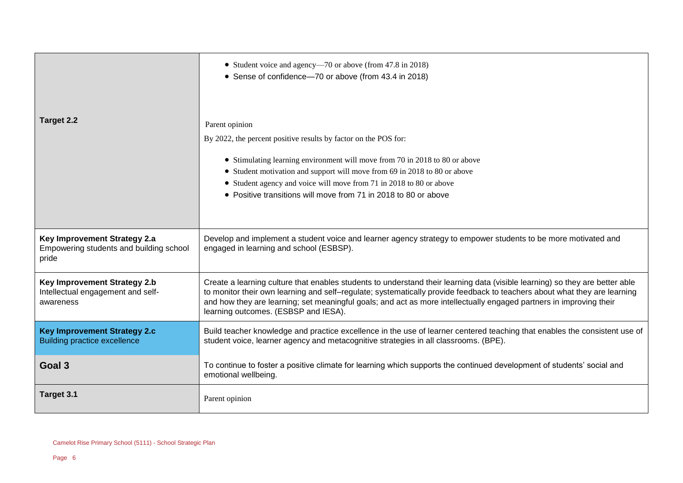|                                                                                  | • Student voice and agency—70 or above (from 47.8 in 2018)<br>• Sense of confidence-70 or above (from 43.4 in 2018)                                                                                                                                                                                                                                                                                                      |
|----------------------------------------------------------------------------------|--------------------------------------------------------------------------------------------------------------------------------------------------------------------------------------------------------------------------------------------------------------------------------------------------------------------------------------------------------------------------------------------------------------------------|
| Target 2.2                                                                       | Parent opinion<br>By 2022, the percent positive results by factor on the POS for:                                                                                                                                                                                                                                                                                                                                        |
|                                                                                  | • Stimulating learning environment will move from 70 in 2018 to 80 or above                                                                                                                                                                                                                                                                                                                                              |
|                                                                                  | • Student motivation and support will move from 69 in 2018 to 80 or above                                                                                                                                                                                                                                                                                                                                                |
|                                                                                  | • Student agency and voice will move from 71 in 2018 to 80 or above<br>• Positive transitions will move from 71 in 2018 to 80 or above                                                                                                                                                                                                                                                                                   |
| Key Improvement Strategy 2.a<br>Empowering students and building school<br>pride | Develop and implement a student voice and learner agency strategy to empower students to be more motivated and<br>engaged in learning and school (ESBSP).                                                                                                                                                                                                                                                                |
| Key Improvement Strategy 2.b<br>Intellectual engagement and self-<br>awareness   | Create a learning culture that enables students to understand their learning data (visible learning) so they are better able<br>to monitor their own learning and self-regulate; systematically provide feedback to teachers about what they are learning<br>and how they are learning; set meaningful goals; and act as more intellectually engaged partners in improving their<br>learning outcomes. (ESBSP and IESA). |
| <b>Key Improvement Strategy 2.c</b><br><b>Building practice excellence</b>       | Build teacher knowledge and practice excellence in the use of learner centered teaching that enables the consistent use of<br>student voice, learner agency and metacognitive strategies in all classrooms. (BPE).                                                                                                                                                                                                       |
| Goal <sub>3</sub>                                                                | To continue to foster a positive climate for learning which supports the continued development of students' social and<br>emotional wellbeing.                                                                                                                                                                                                                                                                           |
| Target 3.1                                                                       | Parent opinion                                                                                                                                                                                                                                                                                                                                                                                                           |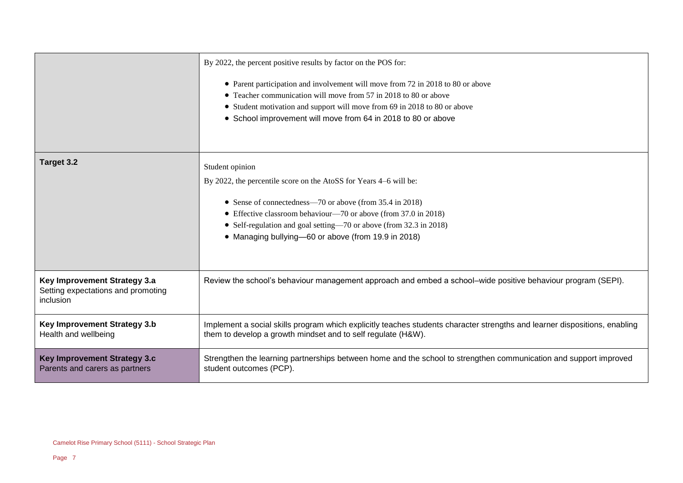|                                                                                 | By 2022, the percent positive results by factor on the POS for:<br>• Parent participation and involvement will move from 72 in 2018 to 80 or above<br>• Teacher communication will move from 57 in 2018 to 80 or above<br>• Student motivation and support will move from 69 in 2018 to 80 or above<br>• School improvement will move from 64 in 2018 to 80 or above |
|---------------------------------------------------------------------------------|----------------------------------------------------------------------------------------------------------------------------------------------------------------------------------------------------------------------------------------------------------------------------------------------------------------------------------------------------------------------|
| Target 3.2                                                                      | Student opinion<br>By 2022, the percentile score on the AtoSS for Years 4–6 will be:<br>• Sense of connectedness—70 or above (from 35.4 in 2018)<br>• Effective classroom behaviour—70 or above (from 37.0 in 2018)<br>• Self-regulation and goal setting—70 or above (from 32.3 in 2018)<br>• Managing bullying-60 or above (from 19.9 in 2018)                     |
| Key Improvement Strategy 3.a<br>Setting expectations and promoting<br>inclusion | Review the school's behaviour management approach and embed a school–wide positive behaviour program (SEPI).                                                                                                                                                                                                                                                         |
| Key Improvement Strategy 3.b<br>Health and wellbeing                            | Implement a social skills program which explicitly teaches students character strengths and learner dispositions, enabling<br>them to develop a growth mindset and to self regulate (H&W).                                                                                                                                                                           |
| <b>Key Improvement Strategy 3.c</b><br>Parents and carers as partners           | Strengthen the learning partnerships between home and the school to strengthen communication and support improved<br>student outcomes (PCP).                                                                                                                                                                                                                         |